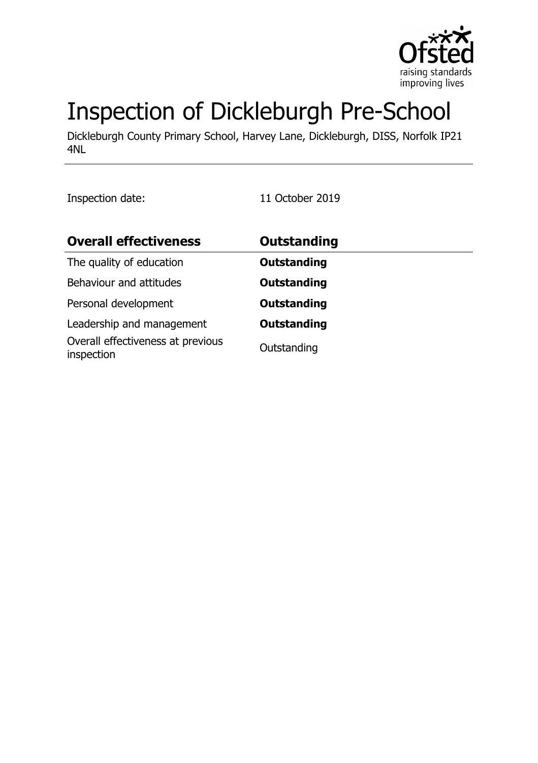

# Inspection of Dickleburgh Pre-School

Dickleburgh County Primary School, Harvey Lane, Dickleburgh, DISS, Norfolk IP21 4NL

Inspection date: 11 October 2019

| <b>Overall effectiveness</b>                    | <b>Outstanding</b> |
|-------------------------------------------------|--------------------|
| The quality of education                        | <b>Outstanding</b> |
| Behaviour and attitudes                         | <b>Outstanding</b> |
| Personal development                            | <b>Outstanding</b> |
| Leadership and management                       | <b>Outstanding</b> |
| Overall effectiveness at previous<br>inspection | Outstanding        |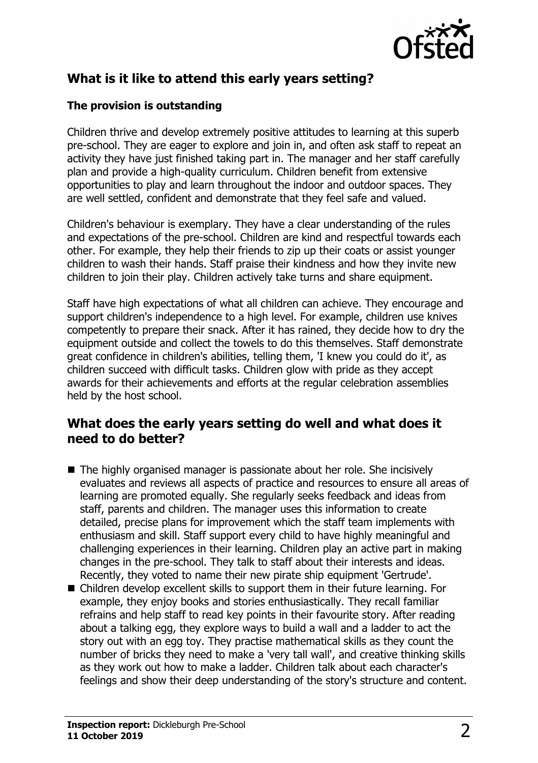

## **What is it like to attend this early years setting?**

#### **The provision is outstanding**

Children thrive and develop extremely positive attitudes to learning at this superb pre-school. They are eager to explore and join in, and often ask staff to repeat an activity they have just finished taking part in. The manager and her staff carefully plan and provide a high-quality curriculum. Children benefit from extensive opportunities to play and learn throughout the indoor and outdoor spaces. They are well settled, confident and demonstrate that they feel safe and valued.

Children's behaviour is exemplary. They have a clear understanding of the rules and expectations of the pre-school. Children are kind and respectful towards each other. For example, they help their friends to zip up their coats or assist younger children to wash their hands. Staff praise their kindness and how they invite new children to join their play. Children actively take turns and share equipment.

Staff have high expectations of what all children can achieve. They encourage and support children's independence to a high level. For example, children use knives competently to prepare their snack. After it has rained, they decide how to dry the equipment outside and collect the towels to do this themselves. Staff demonstrate great confidence in children's abilities, telling them, 'I knew you could do it', as children succeed with difficult tasks. Children glow with pride as they accept awards for their achievements and efforts at the regular celebration assemblies held by the host school.

### **What does the early years setting do well and what does it need to do better?**

- $\blacksquare$  The highly organised manager is passionate about her role. She incisively evaluates and reviews all aspects of practice and resources to ensure all areas of learning are promoted equally. She regularly seeks feedback and ideas from staff, parents and children. The manager uses this information to create detailed, precise plans for improvement which the staff team implements with enthusiasm and skill. Staff support every child to have highly meaningful and challenging experiences in their learning. Children play an active part in making changes in the pre-school. They talk to staff about their interests and ideas. Recently, they voted to name their new pirate ship equipment 'Gertrude'.
- $\blacksquare$  Children develop excellent skills to support them in their future learning. For example, they enjoy books and stories enthusiastically. They recall familiar refrains and help staff to read key points in their favourite story. After reading about a talking egg, they explore ways to build a wall and a ladder to act the story out with an egg toy. They practise mathematical skills as they count the number of bricks they need to make a 'very tall wall', and creative thinking skills as they work out how to make a ladder. Children talk about each character's feelings and show their deep understanding of the story's structure and content.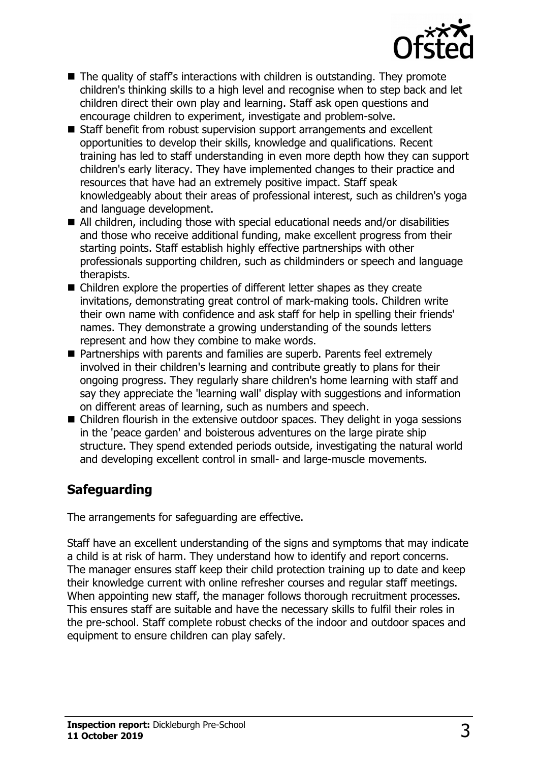

- $\blacksquare$  The quality of staff's interactions with children is outstanding. They promote children's thinking skills to a high level and recognise when to step back and let children direct their own play and learning. Staff ask open questions and encourage children to experiment, investigate and problem-solve.
- Staff benefit from robust supervision support arrangements and excellent opportunities to develop their skills, knowledge and qualifications. Recent training has led to staff understanding in even more depth how they can support children's early literacy. They have implemented changes to their practice and resources that have had an extremely positive impact. Staff speak knowledgeably about their areas of professional interest, such as children's yoga and language development.
- $\blacksquare$  All children, including those with special educational needs and/or disabilities and those who receive additional funding, make excellent progress from their starting points. Staff establish highly effective partnerships with other professionals supporting children, such as childminders or speech and language therapists.
- $\blacksquare$  Children explore the properties of different letter shapes as they create invitations, demonstrating great control of mark-making tools. Children write their own name with confidence and ask staff for help in spelling their friends' names. They demonstrate a growing understanding of the sounds letters represent and how they combine to make words.
- Partnerships with parents and families are superb. Parents feel extremely involved in their children's learning and contribute greatly to plans for their ongoing progress. They regularly share children's home learning with staff and say they appreciate the 'learning wall' display with suggestions and information on different areas of learning, such as numbers and speech.
- $\blacksquare$  Children flourish in the extensive outdoor spaces. They delight in yoga sessions in the 'peace garden' and boisterous adventures on the large pirate ship structure. They spend extended periods outside, investigating the natural world and developing excellent control in small- and large-muscle movements.

# **Safeguarding**

The arrangements for safeguarding are effective.

Staff have an excellent understanding of the signs and symptoms that may indicate a child is at risk of harm. They understand how to identify and report concerns. The manager ensures staff keep their child protection training up to date and keep their knowledge current with online refresher courses and regular staff meetings. When appointing new staff, the manager follows thorough recruitment processes. This ensures staff are suitable and have the necessary skills to fulfil their roles in the pre-school. Staff complete robust checks of the indoor and outdoor spaces and equipment to ensure children can play safely.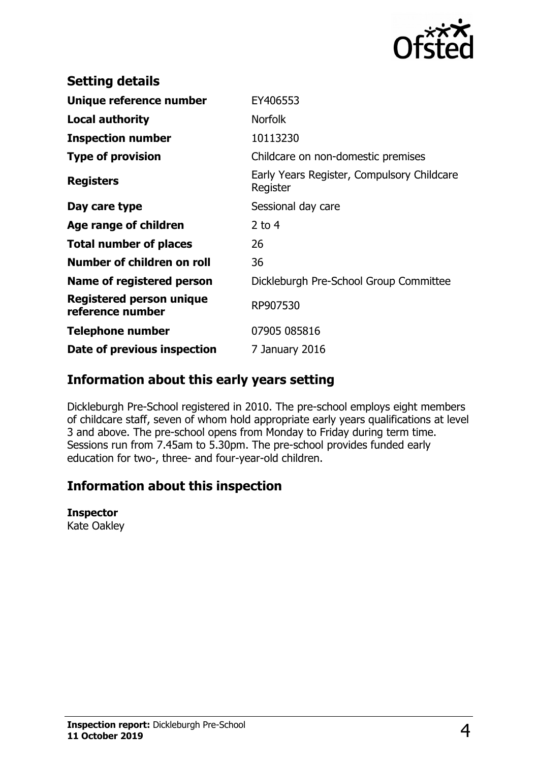

| <b>Setting details</b>                              |                                                        |
|-----------------------------------------------------|--------------------------------------------------------|
| Unique reference number                             | EY406553                                               |
| <b>Local authority</b>                              | <b>Norfolk</b>                                         |
| <b>Inspection number</b>                            | 10113230                                               |
| <b>Type of provision</b>                            | Childcare on non-domestic premises                     |
| <b>Registers</b>                                    | Early Years Register, Compulsory Childcare<br>Register |
| Day care type                                       | Sessional day care                                     |
| Age range of children                               | 2 to $4$                                               |
| <b>Total number of places</b>                       | 26                                                     |
| Number of children on roll                          | 36                                                     |
| Name of registered person                           | Dickleburgh Pre-School Group Committee                 |
| <b>Registered person unique</b><br>reference number | RP907530                                               |
| Telephone number                                    | 07905 085816                                           |
| Date of previous inspection                         | 7 January 2016                                         |

## **Information about this early years setting**

Dickleburgh Pre-School registered in 2010. The pre-school employs eight members of childcare staff, seven of whom hold appropriate early years qualifications at level 3 and above. The pre-school opens from Monday to Friday during term time. Sessions run from 7.45am to 5.30pm. The pre-school provides funded early education for two-, three- and four-year-old children.

## **Information about this inspection**

#### **Inspector**

Kate Oakley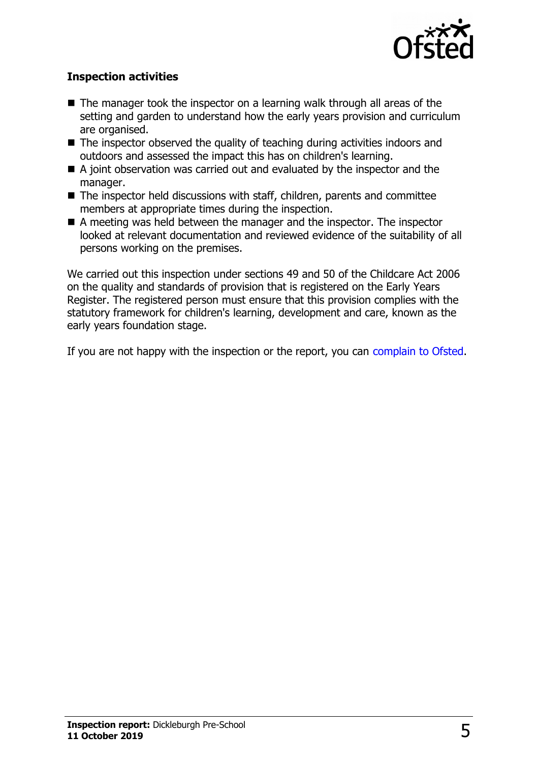

#### **Inspection activities**

- $\blacksquare$  The manager took the inspector on a learning walk through all areas of the setting and garden to understand how the early years provision and curriculum are organised.
- $\blacksquare$  The inspector observed the quality of teaching during activities indoors and outdoors and assessed the impact this has on children's learning.
- $\blacksquare$  A joint observation was carried out and evaluated by the inspector and the manager.
- The inspector held discussions with staff, children, parents and committee members at appropriate times during the inspection.
- $\blacksquare$  A meeting was held between the manager and the inspector. The inspector looked at relevant documentation and reviewed evidence of the suitability of all persons working on the premises.

We carried out this inspection under sections 49 and 50 of the Childcare Act 2006 on the quality and standards of provision that is registered on the Early Years Register. The registered person must ensure that this provision complies with the statutory framework for children's learning, development and care, known as the early years foundation stage.

If you are not happy with the inspection or the report, you can [complain to Ofsted.](http://www.gov.uk/complain-ofsted-report)